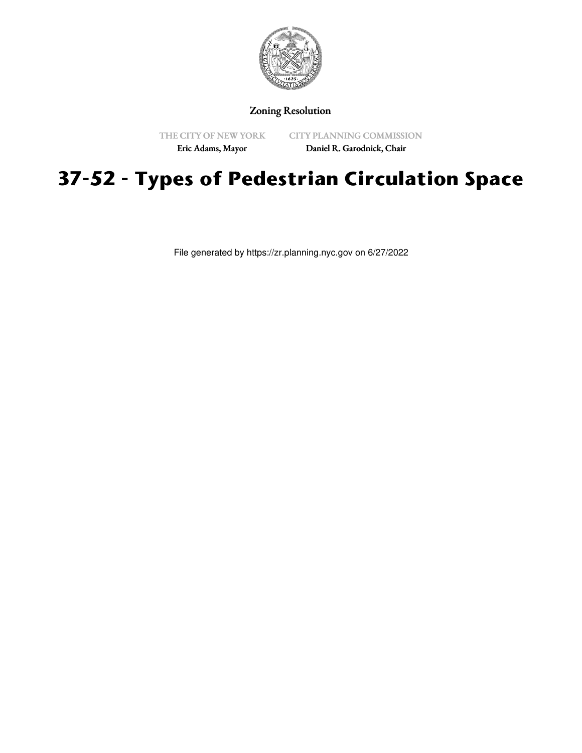

## Zoning Resolution

THE CITY OF NEW YORK

CITY PLANNING COMMISSION

Eric Adams, Mayor

Daniel R. Garodnick, Chair

## **37-52 - Types of Pedestrian Circulation Space**

File generated by https://zr.planning.nyc.gov on 6/27/2022